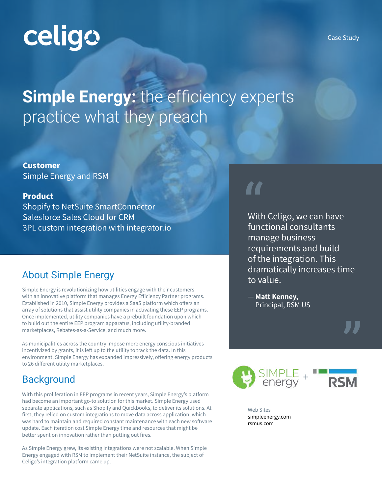# celigo

# **Simple Energy:** the efficiency experts practice what they preach

**Customer** Simple Energy and RSM

#### **Product**

Shopify to NetSuite SmartConnector Salesforce Sales Cloud for CRM 3PL custom integration with integrator.io

### About Simple Energy

Simple Energy is revolutionizing how utilities engage with their customers with an innovative platform that manages Energy Efficiency Partner programs. Established in 2010, Simple Energy provides a SaaS platform which offers an array of solutions that assist utility companies in activating these EEP programs. Once implemented, utility companies have a prebuilt foundation upon which to build out the entire EEP program apparatus, including utility-branded marketplaces, Rebates-as-a-Service, and much more.

As municipalities across the country impose more energy conscious initiatives incentivized by grants, it is left up to the utility to track the data. In this environment, Simple Energy has expanded impressively, offering energy products to 26 different utility marketplaces.

### **Background**

With this proliferation in EEP programs in recent years, Simple Energy's platform had become an important go-to solution for this market. Simple Energy used separate applications, such as Shopify and Quickbooks, to deliver its solutions. At first, they relied on custom integrations to move data across application, which was hard to maintain and required constant maintenance with each new software update. Each iteration cost Simple Energy time and resources that might be better spent on innovation rather than putting out fires.

As Simple Energy grew, its existing integrations were not scalable. When Simple Energy engaged with RSM to implement their NetSuite instance, the subject of Celigo's integration platform came up.

" With Celigo, we can have functional consultants manage business requirements and build of the integration. This dramatically increases time to value.

— **Matt Kenney,** Principal, RSM US





Web Sites simpleenergy.com rsmus.com